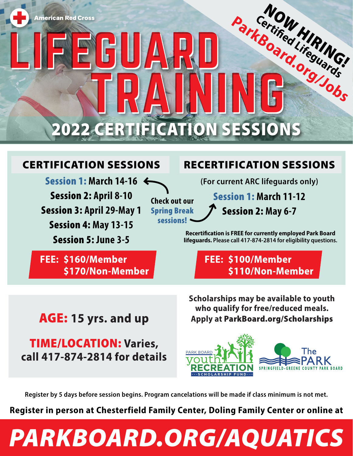

**Check out our**  Spring Break sessions!

### CERTIFICATION SESSIONS

Session 1: **March 14-16**  Session 2: **April 8-10**  Session 3: **April 29-May 1**  Session 4: **May 13-15**  Session 5: **June 3-5**

FEE: \$160/Member \$170/Non-Member

### RECERTIFICATION SESSIONS

**(For current ARC lifeguards only)** Session 1: **March 11-12**  Session 2: **May 6-7** 

**Recertification is FREE for currently employed Park Board lifeguards. Please call 417-874-2814 for eligibility questions.**

> **FEE: \$100/Member** \$110/Non-Member

## **AGE: 15 yrs. and up**

**TIME/LOCATION: Varies,** call 417-874-2814 for details **Scholarships may be available to youth who qualify for free/reduced meals. Apply at** ParkBoard.org/Scholarships



**Register by 5 days before session begins. Program cancelations will be made if class minimum is not met.**

**Register in person at Chesterfield Family Center, Doling Family Center or online at**

## *PARKBOARD.ORG/AQUATICS*